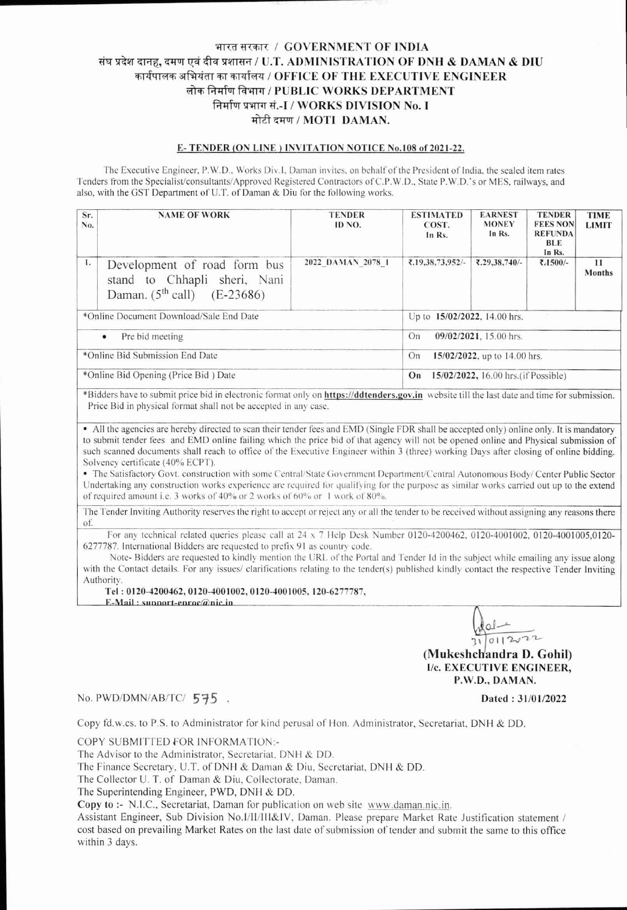## भारत सरकार / GOVERNMENT OF INDIA संघ प्रदेश दानह, दमण एवं दीव प्रशासन / U.T. ADMINISTRATION OF DNH & DAMAN & DIU कार्यपालक अभियंता का कार्यालय / OFFICE OF THE EXECUTIVE ENGINEER लोक निर्माण विभाग / PUBLIC WORKS DEPARTMENT निर्माण प्रभाग सं.-I / WORKS DIVISION No. I मोटी दमण / MOTI DAMAN.

#### E-TENDER (ON LINE) INVITATION NOTICE No.108 of 2021-22.

The Executive Engineer, P.W.D., Works Div.1, Daman invites, on behalf of the President of India, the sealed item rates Tenders from the Specialist/consultants/Approved Registered Contractors of C.P.W.D., State P.W.D.'s or MES, railways, and also, with the GST Department of U.T. of Daman & Diu for the following works.

| Sr.<br>No.                              | <b>NAME OF WORK</b>                                                                                | <b>TENDER</b><br>ID NO. | <b>ESTIMATED</b><br>COST.<br>In Rs.        | <b>EARNEST</b><br><b>MONEY</b><br>In Rs. | <b>TENDER</b><br><b>FEES NON</b><br><b>REFUNDA</b><br>BLE<br>In Rs. | <b>TIME</b><br><b>LIMIT</b> |  |
|-----------------------------------------|----------------------------------------------------------------------------------------------------|-------------------------|--------------------------------------------|------------------------------------------|---------------------------------------------------------------------|-----------------------------|--|
| 1.                                      | Development of road form bus<br>stand to Chhapli sheri, Nani<br>Daman. $(5^{th}$ call) $(E-23686)$ | 2022 DAMAN 2078 1       | ₹.19.38.73.952/-                           | ₹.29,38,740/-                            | ₹.1500/-                                                            | 11<br><b>Months</b>         |  |
| *Online Document Download/Sale End Date |                                                                                                    |                         | Up to 15/02/2022, 14.00 hrs.               |                                          |                                                                     |                             |  |
| Pre bid meeting<br>$\bullet$            |                                                                                                    |                         | 09/02/2021, 15.00 hrs.<br>On               |                                          |                                                                     |                             |  |
| *Online Bid Submission End Date         |                                                                                                    |                         | 15/02/2022, up to 14.00 hrs.<br>On         |                                          |                                                                     |                             |  |
| *Online Bid Opening (Price Bid) Date    |                                                                                                    |                         | 15/02/2022, 16.00 hrs. (if Possible)<br>On |                                          |                                                                     |                             |  |

\*Bidders have to submit price bid in electronic format only on https://ddtenders.gov.in website till the last date and time for submission. Price Bid in physical format shall not be accepted in any case.

• All the agencies are hereby directed to scan their tender fees and EMD (Single FDR shall be accepted only) online only. It is mandatory to submit tender fees and EMD online failing which the price bid of that agency will not be opened online and Physical submission of such scanned documents shall reach to office of the Executive Engineer within 3 (three) working Days after closing of online bidding. Solvency certificate (40% ECPT).

The Satisfactory Govt. construction with some Central/State Government Department/Central Autonomous Body/ Center Public Sector Undertaking any construction works experience are required for qualifying for the purpose as similar works carried out up to the extend of required amount i.e. 3 works of 40% or 2 works of 60% or 1 work of 80%.

The Tender Inviting Authority reserves the right to accept or reject any or all the tender to be received without assigning any reasons there of.

For any technical related queries please call at 24 x 7 Help Desk Number 0120-4200462, 0120-4001002, 0120-4001005,0120-6277787. International Bidders are requested to prefix 91 as country code.

Note-Bidders are requested to kindly mention the URL of the Portal and Tender Id in the subject while emailing any issue along with the Contact details. For any issues/ clarifications relating to the tender(s) published kindly contact the respective Tender Inviting Authority.

Tel: 0120-4200462, 0120-4001002, 0120-4001005, 120-6277787,

 $E-Mail: sunport-enroc@nic.in$ 

 $\frac{1}{31}$  0112022 (Mukeshchandra D. Gohil) **I/c. EXECUTIVE ENGINEER.** P.W.D., DAMAN.

Dated: 31/01/2022

No. PWD/DMN/AB/TC/ 575.

Copy fd.w.cs. to P.S. to Administrator for kind perusal of Hon. Administrator, Secretariat, DNH & DD.

COPY SUBMITTED FOR INFORMATION:-

The Advisor to the Administrator, Secretariat, DNH & DD.

The Finance Secretary, U.T. of DNH & Daman & Diu, Secretariat, DNH & DD.

The Collector U. T. of Daman & Diu, Collectorate, Daman.

The Superintending Engineer, PWD, DNH & DD.

Copy to :- N.I.C., Secretariat, Daman for publication on web site www.daman.nic.in.

Assistant Engineer, Sub Division No.I/II/III&IV, Daman. Please prepare Market Rate Justification statement / cost based on prevailing Market Rates on the last date of submission of tender and submit the same to this office within 3 days.